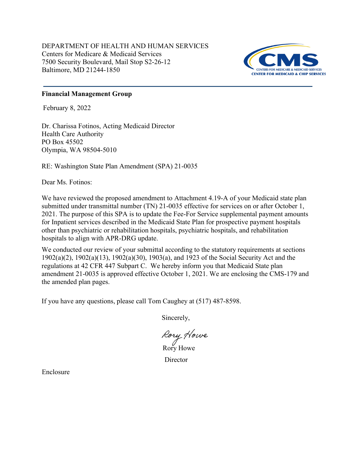DEPARTMENT OF HEALTH AND HUMAN SERVICES Centers for Medicare & Medicaid Services 7500 Security Boulevard, Mail Stop S2-26-12 Baltimore, MD 21244-1850



## **Financial Management Group**

February 8, 2022

Dr. Charissa Fotinos, Acting Medicaid Director Health Care Authority PO Box 45502 Olympia, WA 98504-5010

RE: Washington State Plan Amendment (SPA) 21-0035

Dear Ms. Fotinos:

We have reviewed the proposed amendment to Attachment 4.19-A of your Medicaid state plan submitted under transmittal number (TN) 21-0035 effective for services on or after October 1, 2021. The purpose of this SPA is to update the Fee-For Service supplemental payment amounts for Inpatient services described in the Medicaid State Plan for prospective payment hospitals other than psychiatric or rehabilitation hospitals, psychiatric hospitals, and rehabilitation hospitals to align with APR-DRG update.

We conducted our review of your submittal according to the statutory requirements at sections 1902(a)(2), 1902(a)(13), 1902(a)(30), 1903(a), and 1923 of the Social Security Act and the regulations at 42 CFR 447 Subpart C. We hereby inform you that Medicaid State plan amendment 21-0035 is approved effective October 1, 2021. We are enclosing the CMS-179 and the amended plan pages.

If you have any questions, please call Tom Caughey at (517) 487-8598.

Sincerely,

Rory Howe

**Director** 

Enclosure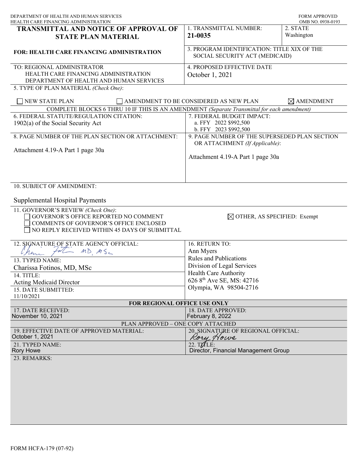| DEPARTMENT OF HEALTH AND HUMAN SERVICES<br>HEALTH CARE FINANCING ADMINISTRATION                                                                                        |                                                                                 | <b>FORM APPROVED</b><br>OMB NO. 0938-0193 |
|------------------------------------------------------------------------------------------------------------------------------------------------------------------------|---------------------------------------------------------------------------------|-------------------------------------------|
| <b>TRANSMITTAL AND NOTICE OF APPROVAL OF</b><br><b>STATE PLAN MATERIAL</b>                                                                                             | 1. TRANSMITTAL NUMBER:<br>21-0035                                               | 2. STATE<br>Washington                    |
| <b>FOR: HEALTH CARE FINANCING ADMINISTRATION</b>                                                                                                                       | 3. PROGRAM IDENTIFICATION: TITLE XIX OF THE<br>SOCIAL SECURITY ACT (MEDICAID)   |                                           |
| TO: REGIONAL ADMINISTRATOR<br>HEALTH CARE FINANCING ADMINISTRATION<br>DEPARTMENT OF HEALTH AND HUMAN SERVICES<br>5. TYPE OF PLAN MATERIAL (Check One):                 | 4. PROPOSED EFFECTIVE DATE<br>October 1, 2021                                   |                                           |
| <b>NEW STATE PLAN</b>                                                                                                                                                  | AMENDMENT TO BE CONSIDERED AS NEW PLAN                                          | $\boxtimes$ AMENDMENT                     |
| COMPLETE BLOCKS 6 THRU 10 IF THIS IS AN AMENDMENT (Separate Transmittal for each amendment)                                                                            |                                                                                 |                                           |
| 6. FEDERAL STATUTE/REGULATION CITATION:                                                                                                                                | 7. FEDERAL BUDGET IMPACT:                                                       |                                           |
| $1902(a)$ of the Social Security Act                                                                                                                                   | a. FFY 2022 \$992,500<br>b. FFY 2023 \$992,500                                  |                                           |
| 8. PAGE NUMBER OF THE PLAN SECTION OR ATTACHMENT:                                                                                                                      | 9. PAGE NUMBER OF THE SUPERSEDED PLAN SECTION<br>OR ATTACHMENT (If Applicable): |                                           |
| Attachment 4.19-A Part 1 page 30a                                                                                                                                      | Attachment 4.19-A Part 1 page 30a                                               |                                           |
| 10. SUBJECT OF AMENDMENT:<br><b>Supplemental Hospital Payments</b>                                                                                                     |                                                                                 |                                           |
| 11. GOVERNOR'S REVIEW (Check One):<br>GOVERNOR'S OFFICE REPORTED NO COMMENT<br>COMMENTS OF GOVERNOR'S OFFICE ENCLOSED<br>NO REPLY RECEIVED WITHIN 45 DAYS OF SUBMITTAL | $\boxtimes$ OTHER, AS SPECIFIED: Exempt                                         |                                           |
| 12. SIGNATURE OF STATE AGENCY OFFICIAL:                                                                                                                                | 16. RETURN TO:                                                                  |                                           |
| $MD$ $MS$<br>Man                                                                                                                                                       | Ann Myers                                                                       |                                           |
| 13. TYPED NAME:                                                                                                                                                        | <b>Rules and Publications</b>                                                   |                                           |
| Charissa Fotinos, MD, MSc                                                                                                                                              | Division of Legal Services                                                      |                                           |
| 14. TITLE:                                                                                                                                                             | Health Care Authority                                                           |                                           |
| <b>Acting Medicaid Director</b>                                                                                                                                        | 626 8 <sup>th</sup> Ave SE, MS: 42716                                           |                                           |
| 15. DATE SUBMITTED:                                                                                                                                                    | Olympia, WA 98504-2716                                                          |                                           |
| 11/10/2021                                                                                                                                                             |                                                                                 |                                           |
| FOR REGIONAL OFFICE USE ONLY                                                                                                                                           |                                                                                 |                                           |
| 17. DATE RECEIVED:                                                                                                                                                     | 18. DATE APPROVED:                                                              |                                           |
| November 10, 2021                                                                                                                                                      | February 8, 2022                                                                |                                           |
| PLAN APPROVED - ONE COPY ATTACHED                                                                                                                                      |                                                                                 |                                           |
| 19. EFFECTIVE DATE OF APPROVED MATERIAL:<br>October 1, 2021                                                                                                            | 20. SIGNATURE OF REGIONAL OFFICIAL:<br>Rory Nowe                                |                                           |
| 21. TYPED NAME:<br><b>Rory Howe</b>                                                                                                                                    | 22. T $MLE$ :<br>Director, Financial Management Group                           |                                           |
| 23. REMARKS:                                                                                                                                                           |                                                                                 |                                           |
|                                                                                                                                                                        |                                                                                 |                                           |